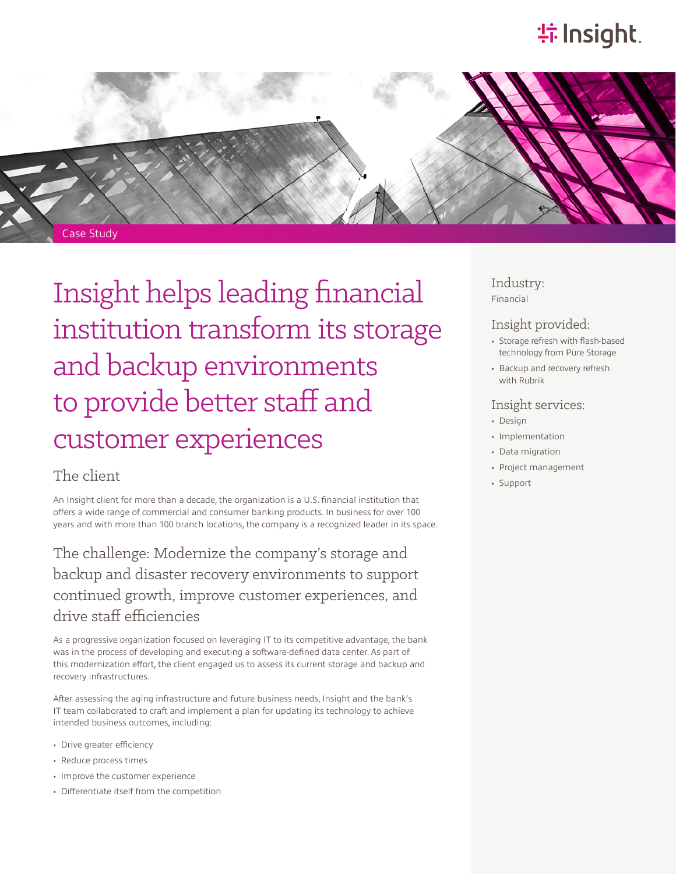# **特Insight**.



Insight helps leading financial institution transform its storage and backup environments to provide better staff and customer experiences

## The client

An Insight client for more than a decade, the organization is a U.S. financial institution that offers a wide range of commercial and consumer banking products. In business for over 100 years and with more than 100 branch locations, the company is a recognized leader in its space.

The challenge: Modernize the company's storage and backup and disaster recovery environments to support continued growth, improve customer experiences, and drive staff efficiencies

As a progressive organization focused on leveraging IT to its competitive advantage, the bank was in the process of developing and executing a software-defined data center. As part of this modernization effort, the client engaged us to assess its current storage and backup and recovery infrastructures.

After assessing the aging infrastructure and future business needs, Insight and the bank's IT team collaborated to craft and implement a plan for updating its technology to achieve intended business outcomes, including:

- Drive greater efficiency
- Reduce process times
- Improve the customer experience
- Differentiate itself from the competition

### Industry: Financial

## Insight provided:

- Storage refresh with flash-based technology from Pure Storage
- Backup and recovery refresh with Rubrik

## Insight services:

- Design
- Implementation
- Data migration
- Project management
- Support